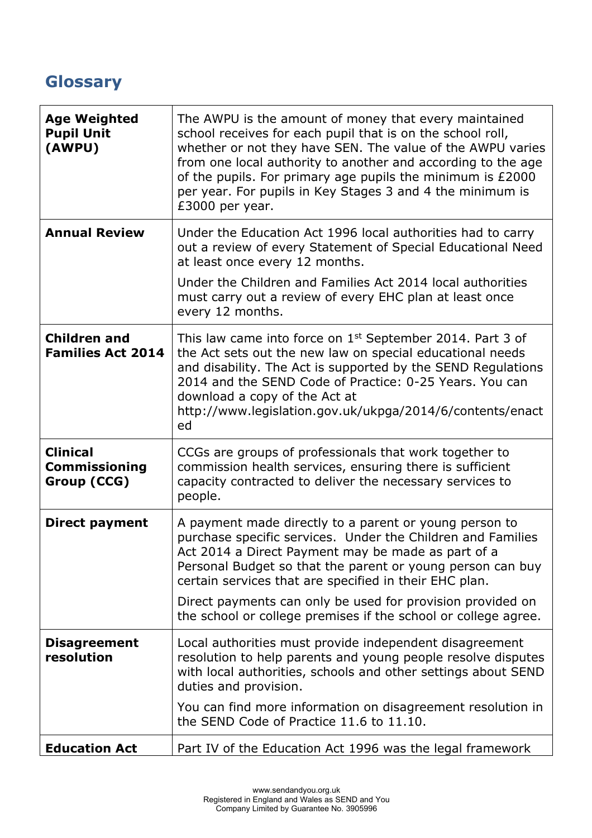## **Glossary**

| <b>Age Weighted</b><br><b>Pupil Unit</b><br>(AWPU)     | The AWPU is the amount of money that every maintained<br>school receives for each pupil that is on the school roll,<br>whether or not they have SEN. The value of the AWPU varies<br>from one local authority to another and according to the age<br>of the pupils. For primary age pupils the minimum is £2000<br>per year. For pupils in Key Stages 3 and 4 the minimum is<br>£3000 per year.                                     |
|--------------------------------------------------------|-------------------------------------------------------------------------------------------------------------------------------------------------------------------------------------------------------------------------------------------------------------------------------------------------------------------------------------------------------------------------------------------------------------------------------------|
| <b>Annual Review</b>                                   | Under the Education Act 1996 local authorities had to carry<br>out a review of every Statement of Special Educational Need<br>at least once every 12 months.                                                                                                                                                                                                                                                                        |
|                                                        | Under the Children and Families Act 2014 local authorities<br>must carry out a review of every EHC plan at least once<br>every 12 months.                                                                                                                                                                                                                                                                                           |
| <b>Children and</b><br><b>Families Act 2014</b>        | This law came into force on 1 <sup>st</sup> September 2014. Part 3 of<br>the Act sets out the new law on special educational needs<br>and disability. The Act is supported by the SEND Regulations<br>2014 and the SEND Code of Practice: 0-25 Years. You can<br>download a copy of the Act at<br>http://www.legislation.gov.uk/ukpga/2014/6/contents/enact<br>ed                                                                   |
| <b>Clinical</b><br><b>Commissioning</b><br>Group (CCG) | CCGs are groups of professionals that work together to<br>commission health services, ensuring there is sufficient<br>capacity contracted to deliver the necessary services to<br>people.                                                                                                                                                                                                                                           |
| Direct payment                                         | A payment made directly to a parent or young person to<br>purchase specific services. Under the Children and Families<br>Act 2014 a Direct Payment may be made as part of a<br>Personal Budget so that the parent or young person can buy<br>certain services that are specified in their EHC plan.<br>Direct payments can only be used for provision provided on<br>the school or college premises if the school or college agree. |
| <b>Disagreement</b><br>resolution                      | Local authorities must provide independent disagreement<br>resolution to help parents and young people resolve disputes<br>with local authorities, schools and other settings about SEND<br>duties and provision.                                                                                                                                                                                                                   |
|                                                        | You can find more information on disagreement resolution in<br>the SEND Code of Practice 11.6 to 11.10.                                                                                                                                                                                                                                                                                                                             |
| <b>Education Act</b>                                   | Part IV of the Education Act 1996 was the legal framework                                                                                                                                                                                                                                                                                                                                                                           |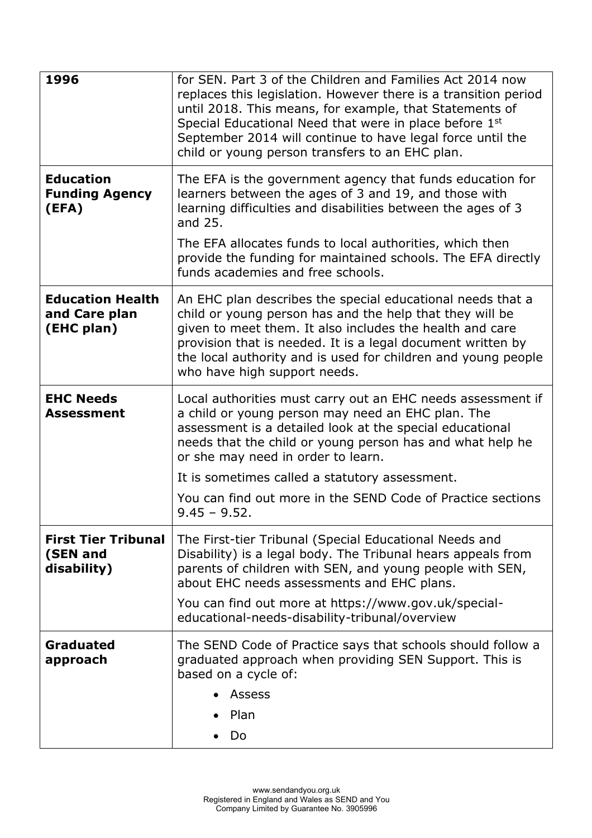| 1996                                                   | for SEN. Part 3 of the Children and Families Act 2014 now<br>replaces this legislation. However there is a transition period<br>until 2018. This means, for example, that Statements of<br>Special Educational Need that were in place before 1st<br>September 2014 will continue to have legal force until the<br>child or young person transfers to an EHC plan. |
|--------------------------------------------------------|--------------------------------------------------------------------------------------------------------------------------------------------------------------------------------------------------------------------------------------------------------------------------------------------------------------------------------------------------------------------|
| <b>Education</b><br><b>Funding Agency</b><br>(EFA)     | The EFA is the government agency that funds education for<br>learners between the ages of 3 and 19, and those with<br>learning difficulties and disabilities between the ages of 3<br>and 25.                                                                                                                                                                      |
|                                                        | The EFA allocates funds to local authorities, which then<br>provide the funding for maintained schools. The EFA directly<br>funds academies and free schools.                                                                                                                                                                                                      |
| <b>Education Health</b><br>and Care plan<br>(EHC plan) | An EHC plan describes the special educational needs that a<br>child or young person has and the help that they will be<br>given to meet them. It also includes the health and care<br>provision that is needed. It is a legal document written by<br>the local authority and is used for children and young people<br>who have high support needs.                 |
| <b>EHC Needs</b><br><b>Assessment</b>                  | Local authorities must carry out an EHC needs assessment if<br>a child or young person may need an EHC plan. The<br>assessment is a detailed look at the special educational<br>needs that the child or young person has and what help he<br>or she may need in order to learn.                                                                                    |
|                                                        | It is sometimes called a statutory assessment.                                                                                                                                                                                                                                                                                                                     |
|                                                        | You can find out more in the SEND Code of Practice sections<br>$9.45 - 9.52$ .                                                                                                                                                                                                                                                                                     |
| <b>First Tier Tribunal</b><br>(SEN and<br>disability)  | The First-tier Tribunal (Special Educational Needs and<br>Disability) is a legal body. The Tribunal hears appeals from<br>parents of children with SEN, and young people with SEN,<br>about EHC needs assessments and EHC plans.                                                                                                                                   |
|                                                        | You can find out more at https://www.gov.uk/special-<br>educational-needs-disability-tribunal/overview                                                                                                                                                                                                                                                             |
| Graduated<br>approach                                  | The SEND Code of Practice says that schools should follow a<br>graduated approach when providing SEN Support. This is<br>based on a cycle of:                                                                                                                                                                                                                      |
|                                                        | <b>Assess</b>                                                                                                                                                                                                                                                                                                                                                      |
|                                                        | Plan                                                                                                                                                                                                                                                                                                                                                               |
|                                                        | Do                                                                                                                                                                                                                                                                                                                                                                 |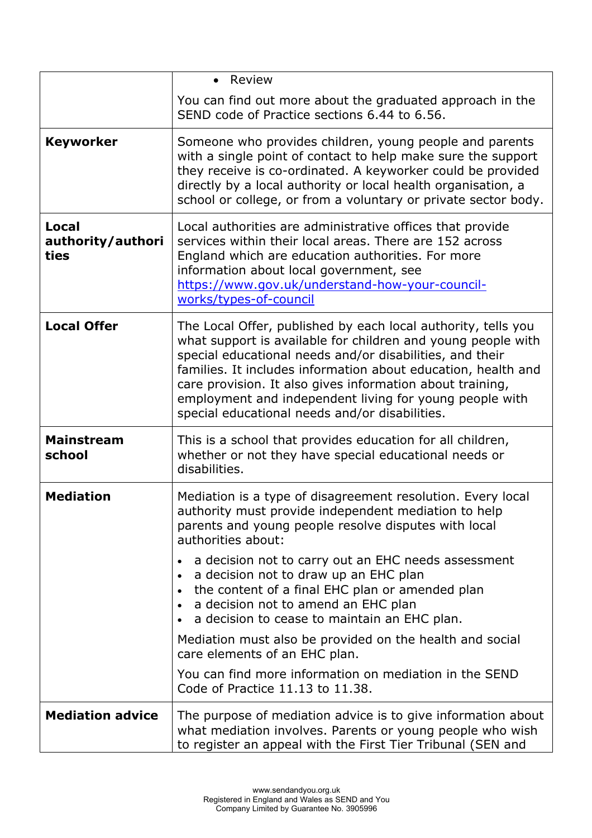|                                           | Review<br>$\bullet$                                                                                                                                                                                                                                                                                                                                                                                                                  |
|-------------------------------------------|--------------------------------------------------------------------------------------------------------------------------------------------------------------------------------------------------------------------------------------------------------------------------------------------------------------------------------------------------------------------------------------------------------------------------------------|
|                                           | You can find out more about the graduated approach in the<br>SEND code of Practice sections 6.44 to 6.56.                                                                                                                                                                                                                                                                                                                            |
| <b>Keyworker</b>                          | Someone who provides children, young people and parents<br>with a single point of contact to help make sure the support<br>they receive is co-ordinated. A keyworker could be provided<br>directly by a local authority or local health organisation, a<br>school or college, or from a voluntary or private sector body.                                                                                                            |
| <b>Local</b><br>authority/authori<br>ties | Local authorities are administrative offices that provide<br>services within their local areas. There are 152 across<br>England which are education authorities. For more<br>information about local government, see<br>https://www.gov.uk/understand-how-your-council-<br>works/types-of-council                                                                                                                                    |
| <b>Local Offer</b>                        | The Local Offer, published by each local authority, tells you<br>what support is available for children and young people with<br>special educational needs and/or disabilities, and their<br>families. It includes information about education, health and<br>care provision. It also gives information about training,<br>employment and independent living for young people with<br>special educational needs and/or disabilities. |
| <b>Mainstream</b><br>school               | This is a school that provides education for all children,<br>whether or not they have special educational needs or<br>disabilities.                                                                                                                                                                                                                                                                                                 |
| <b>Mediation</b>                          | Mediation is a type of disagreement resolution. Every local<br>authority must provide independent mediation to help<br>parents and young people resolve disputes with local<br>authorities about:                                                                                                                                                                                                                                    |
|                                           | a decision not to carry out an EHC needs assessment<br>$\bullet$<br>a decision not to draw up an EHC plan<br>$\bullet$<br>the content of a final EHC plan or amended plan<br>a decision not to amend an EHC plan<br>$\bullet$<br>a decision to cease to maintain an EHC plan.                                                                                                                                                        |
|                                           | Mediation must also be provided on the health and social<br>care elements of an EHC plan.                                                                                                                                                                                                                                                                                                                                            |
|                                           | You can find more information on mediation in the SEND<br>Code of Practice 11.13 to 11.38.                                                                                                                                                                                                                                                                                                                                           |
| <b>Mediation advice</b>                   | The purpose of mediation advice is to give information about<br>what mediation involves. Parents or young people who wish<br>to register an appeal with the First Tier Tribunal (SEN and                                                                                                                                                                                                                                             |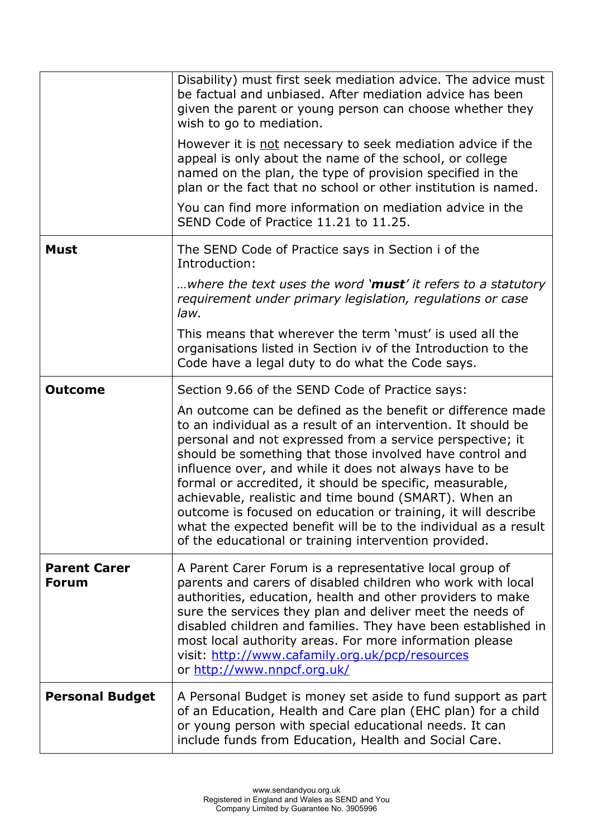|                                     | Disability) must first seek mediation advice. The advice must<br>be factual and unbiased. After mediation advice has been<br>given the parent or young person can choose whether they<br>wish to go to mediation.                                                                                                                                                                                                                                                                                                                                                                                                                  |
|-------------------------------------|------------------------------------------------------------------------------------------------------------------------------------------------------------------------------------------------------------------------------------------------------------------------------------------------------------------------------------------------------------------------------------------------------------------------------------------------------------------------------------------------------------------------------------------------------------------------------------------------------------------------------------|
|                                     | However it is not necessary to seek mediation advice if the<br>appeal is only about the name of the school, or college<br>named on the plan, the type of provision specified in the<br>plan or the fact that no school or other institution is named.                                                                                                                                                                                                                                                                                                                                                                              |
|                                     | You can find more information on mediation advice in the<br>SEND Code of Practice 11.21 to 11.25.                                                                                                                                                                                                                                                                                                                                                                                                                                                                                                                                  |
| <b>Must</b>                         | The SEND Code of Practice says in Section i of the<br>Introduction:                                                                                                                                                                                                                                                                                                                                                                                                                                                                                                                                                                |
|                                     | where the text uses the word 'must' it refers to a statutory<br>requirement under primary legislation, regulations or case<br>law.                                                                                                                                                                                                                                                                                                                                                                                                                                                                                                 |
|                                     | This means that wherever the term 'must' is used all the<br>organisations listed in Section iv of the Introduction to the<br>Code have a legal duty to do what the Code says.                                                                                                                                                                                                                                                                                                                                                                                                                                                      |
| <b>Outcome</b>                      | Section 9.66 of the SEND Code of Practice says:                                                                                                                                                                                                                                                                                                                                                                                                                                                                                                                                                                                    |
|                                     | An outcome can be defined as the benefit or difference made<br>to an individual as a result of an intervention. It should be<br>personal and not expressed from a service perspective; it<br>should be something that those involved have control and<br>influence over, and while it does not always have to be<br>formal or accredited, it should be specific, measurable,<br>achievable, realistic and time bound (SMART). When an<br>outcome is focused on education or training, it will describe<br>what the expected benefit will be to the individual as a result<br>of the educational or training intervention provided. |
| <b>Parent Carer</b><br><b>Forum</b> | A Parent Carer Forum is a representative local group of<br>parents and carers of disabled children who work with local<br>authorities, education, health and other providers to make<br>sure the services they plan and deliver meet the needs of<br>disabled children and families. They have been established in<br>most local authority areas. For more information please<br>visit: http://www.cafamily.org.uk/pcp/resources<br>or http://www.nnpcf.org.uk/                                                                                                                                                                    |
| <b>Personal Budget</b>              | A Personal Budget is money set aside to fund support as part<br>of an Education, Health and Care plan (EHC plan) for a child<br>or young person with special educational needs. It can<br>include funds from Education, Health and Social Care.                                                                                                                                                                                                                                                                                                                                                                                    |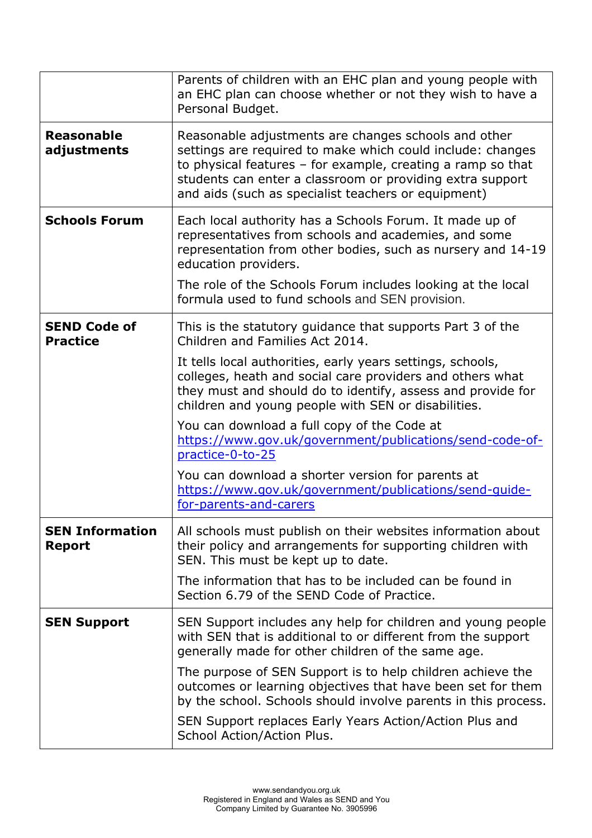|                                         | Parents of children with an EHC plan and young people with<br>an EHC plan can choose whether or not they wish to have a<br>Personal Budget.                                                                                                                                                             |
|-----------------------------------------|---------------------------------------------------------------------------------------------------------------------------------------------------------------------------------------------------------------------------------------------------------------------------------------------------------|
| <b>Reasonable</b><br>adjustments        | Reasonable adjustments are changes schools and other<br>settings are required to make which could include: changes<br>to physical features $-$ for example, creating a ramp so that<br>students can enter a classroom or providing extra support<br>and aids (such as specialist teachers or equipment) |
| <b>Schools Forum</b>                    | Each local authority has a Schools Forum. It made up of<br>representatives from schools and academies, and some<br>representation from other bodies, such as nursery and 14-19<br>education providers.<br>The role of the Schools Forum includes looking at the local                                   |
|                                         | formula used to fund schools and SEN provision.                                                                                                                                                                                                                                                         |
| <b>SEND Code of</b><br><b>Practice</b>  | This is the statutory guidance that supports Part 3 of the<br>Children and Families Act 2014.                                                                                                                                                                                                           |
|                                         | It tells local authorities, early years settings, schools,<br>colleges, heath and social care providers and others what<br>they must and should do to identify, assess and provide for<br>children and young people with SEN or disabilities.                                                           |
|                                         | You can download a full copy of the Code at<br>https://www.gov.uk/government/publications/send-code-of-<br>practice-0-to-25                                                                                                                                                                             |
|                                         | You can download a shorter version for parents at<br>https://www.gov.uk/government/publications/send-guide-<br>for-parents-and-carers                                                                                                                                                                   |
| <b>SEN Information</b><br><b>Report</b> | All schools must publish on their websites information about<br>their policy and arrangements for supporting children with<br>SEN. This must be kept up to date.                                                                                                                                        |
|                                         | The information that has to be included can be found in<br>Section 6.79 of the SEND Code of Practice.                                                                                                                                                                                                   |
| <b>SEN Support</b>                      | SEN Support includes any help for children and young people<br>with SEN that is additional to or different from the support<br>generally made for other children of the same age.                                                                                                                       |
|                                         | The purpose of SEN Support is to help children achieve the<br>outcomes or learning objectives that have been set for them<br>by the school. Schools should involve parents in this process.                                                                                                             |
|                                         | SEN Support replaces Early Years Action/Action Plus and<br>School Action/Action Plus.                                                                                                                                                                                                                   |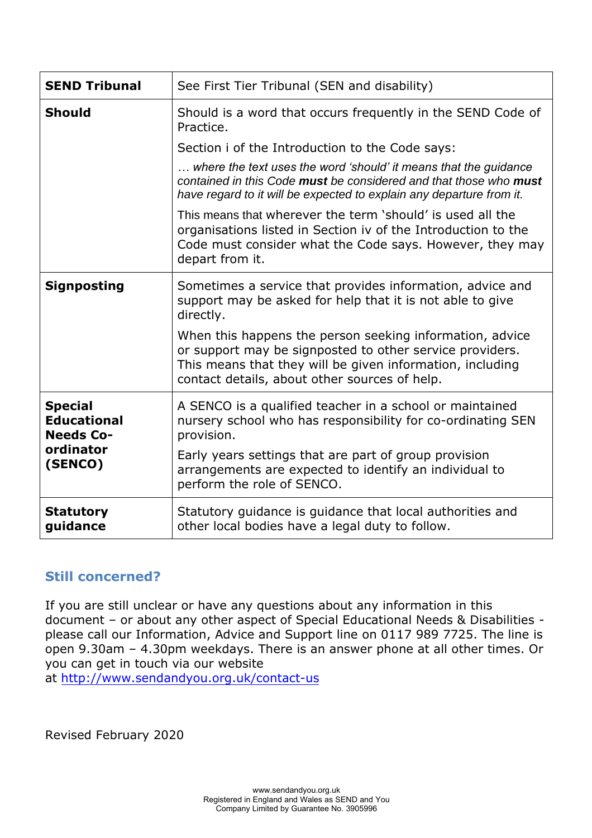| <b>SEND Tribunal</b>                                                             | See First Tier Tribunal (SEN and disability)                                                                                                                                                                                       |
|----------------------------------------------------------------------------------|------------------------------------------------------------------------------------------------------------------------------------------------------------------------------------------------------------------------------------|
| <b>Should</b>                                                                    | Should is a word that occurs frequently in the SEND Code of<br>Practice.                                                                                                                                                           |
|                                                                                  | Section i of the Introduction to the Code says:                                                                                                                                                                                    |
|                                                                                  | where the text uses the word 'should' it means that the guidance<br>contained in this Code must be considered and that those who must<br>have regard to it will be expected to explain any departure from it.                      |
|                                                                                  | This means that wherever the term 'should' is used all the<br>organisations listed in Section iv of the Introduction to the<br>Code must consider what the Code says. However, they may<br>depart from it.                         |
| <b>Signposting</b>                                                               | Sometimes a service that provides information, advice and<br>support may be asked for help that it is not able to give<br>directly.                                                                                                |
|                                                                                  | When this happens the person seeking information, advice<br>or support may be signposted to other service providers.<br>This means that they will be given information, including<br>contact details, about other sources of help. |
| <b>Special</b><br><b>Educational</b><br><b>Needs Co-</b><br>ordinator<br>(SENCO) | A SENCO is a qualified teacher in a school or maintained<br>nursery school who has responsibility for co-ordinating SEN<br>provision.                                                                                              |
|                                                                                  | Early years settings that are part of group provision<br>arrangements are expected to identify an individual to<br>perform the role of SENCO.                                                                                      |
| <b>Statutory</b><br>guidance                                                     | Statutory guidance is guidance that local authorities and<br>other local bodies have a legal duty to follow.                                                                                                                       |

## **Still concerned?**

If you are still unclear or have any questions about any information in this document – or about any other aspect of Special Educational Needs & Disabilities please call our Information, Advice and Support line on 0117 989 7725. The line is open 9.30am – 4.30pm weekdays. There is an answer phone at all other times. Or you can get in touch via our website

at http://www.sendandyou.[org.uk/contact](https://www.sendandyou.org.uk/contact-us/)-us

Revised February 2020